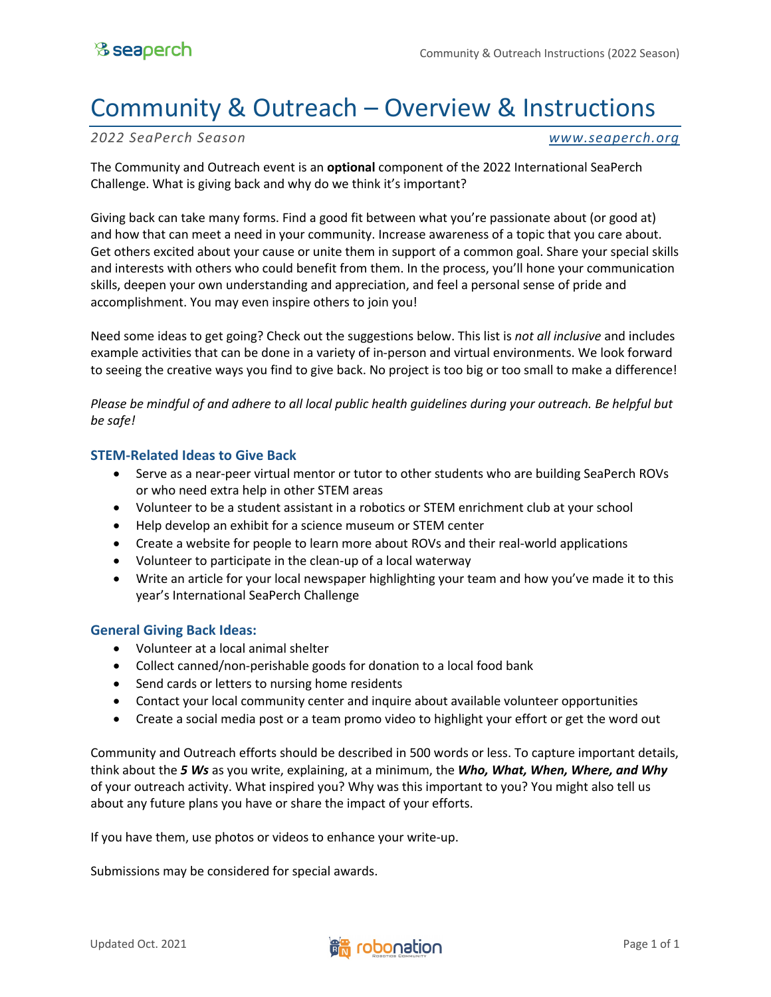## Community & Outreach – Overview & Instructions

*2022 SeaPerch Season www.seaperch.org*

The Community and Outreach event is an **optional** component of the 2022 International SeaPerch Challenge. What is giving back and why do we think it's important?

Giving back can take many forms. Find a good fit between what you're passionate about (or good at) and how that can meet a need in your community. Increase awareness of a topic that you care about. Get others excited about your cause or unite them in support of a common goal. Share your special skills and interests with others who could benefit from them. In the process, you'll hone your communication skills, deepen your own understanding and appreciation, and feel a personal sense of pride and accomplishment. You may even inspire others to join you!

Need some ideas to get going? Check out the suggestions below. This list is *not all inclusive* and includes example activities that can be done in a variety of in-person and virtual environments. We look forward to seeing the creative ways you find to give back. No project is too big or too small to make a difference!

*Please be mindful of and adhere to all local public health guidelines during your outreach. Be helpful but be safe!*

## **STEM-Related Ideas to Give Back**

- Serve as a near-peer virtual mentor or tutor to other students who are building SeaPerch ROVs or who need extra help in other STEM areas
- Volunteer to be a student assistant in a robotics or STEM enrichment club at your school
- Help develop an exhibit for a science museum or STEM center
- Create a website for people to learn more about ROVs and their real-world applications
- Volunteer to participate in the clean-up of a local waterway
- Write an article for your local newspaper highlighting your team and how you've made it to this year's International SeaPerch Challenge

## **General Giving Back Ideas:**

- Volunteer at a local animal shelter
- Collect canned/non-perishable goods for donation to a local food bank
- Send cards or letters to nursing home residents
- Contact your local community center and inquire about available volunteer opportunities
- Create a social media post or a team promo video to highlight your effort or get the word out

Community and Outreach efforts should be described in 500 words or less. To capture important details, think about the *5 Ws* as you write, explaining, at a minimum, the *Who, What, When, Where, and Why*  of your outreach activity. What inspired you? Why was this important to you? You might also tell us about any future plans you have or share the impact of your efforts.

If you have them, use photos or videos to enhance your write-up.

Submissions may be considered for special awards.